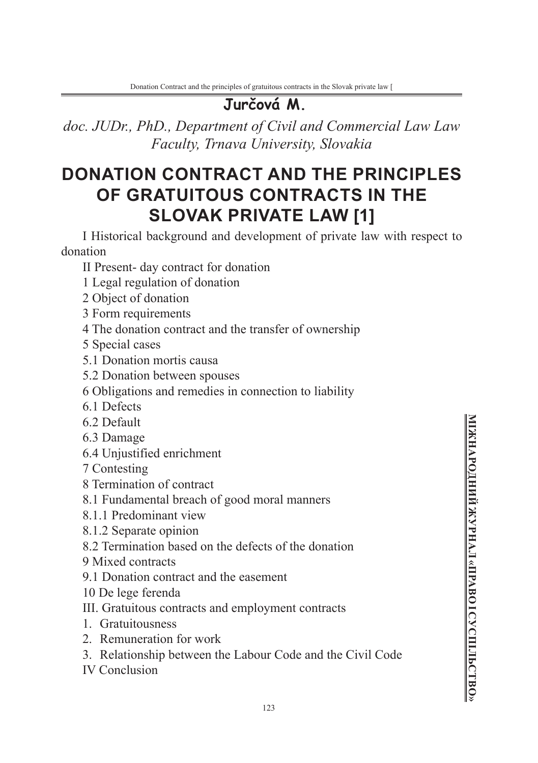*doc. JUDr., PhD., Department of Civil and Commercial Law Law Faculty, Trnava University, Slovakia*

# **DONATION CONTRACT AND THE PRINCIPLES OF GRATUITOUS CONTRACTS IN THE SLOVAK PRIVATE LAW [1]**

I Historical background and development of private law with respect to donation

II Present- day contract for donation

- 1 Legal regulation of donation
- 2 Object of donation

3 Form requirements

4 The donation contract and the transfer of ownership

5 Special cases

- 5.1 Donation mortis causa
- 5.2 Donation between spouses
- 6 Obligations and remedies in connection to liability
- 6.1 Defects
- 6.2 Default
- 6.3 Damage
- 6.4 Unjustified enrichment
- 7 Contesting
- 8 Termination of contract
- 8.1 Fundamental breach of good moral manners
- 8.1.1 Predominant view
- 8.1.2 Separate opinion
- 8.2 Termination based on the defects of the donation
- 9 Mixed contracts
- 9.1 Donation contract and the easement
- 10 De lege ferenda
- III. Gratuitous contracts and employment contracts
- 1. Gratuitousness
- 2. Remuneration for work
- 3. Relationship between the Labour Code and the Civil Code

IV Conclusion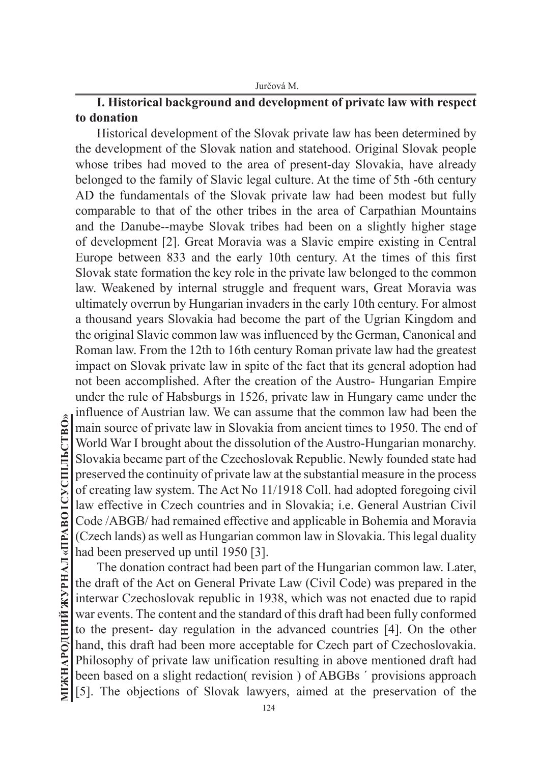# **I. Historical background and development of private law with respect to donation**

Historical development of the Slovak private law has been determined by the development of the Slovak nation and statehood. Original Slovak people whose tribes had moved to the area of present-day Slovakia, have already belonged to the family of Slavic legal culture. At the time of 5th -6th century AD the fundamentals of the Slovak private law had been modest but fully comparable to that of the other tribes in the area of Carpathian Mountains and the Danube--maybe Slovak tribes had been on a slightly higher stage of development [2]. Great Moravia was a Slavic empire existing in Central Europe between 833 and the early 10th century. At the times of this first Slovak state formation the key role in the private law belonged to the common law. Weakened by internal struggle and frequent wars, Great Moravia was ultimately overrun by Hungarian invaders in the early 10th century. For almost a thousand years Slovakia had become the part of the Ugrian Kingdom and the original Slavic common law was influenced by the German, Canonical and Roman law. From the 12th to 16th century Roman private law had the greatest impact on Slovak private law in spite of the fact that its general adoption had not been accomplished. After the creation of the Austro- Hungarian Empire under the rule of Habsburgs in 1526, private law in Hungary came under the influence of Austrian law. We can assume that the common law had been the main source of private law in Slovakia from ancient times to 1950. The end of World War I brought about the dissolution of the Austro-Hungarian monarchy. Slovakia became part of the Czechoslovak Republic. Newly founded state had preserved the continuity of private law at the substantial measure in the process of creating law system. The Act No 11/1918 Coll. had adopted foregoing civil law effective in Czech countries and in Slovakia; i.e. General Austrian Civil Code /ABGB/ had remained effective and applicable in Bohemia and Moravia (Czech lands) as well as Hungarian common law in Slovakia. This legal duality had been preserved up until 1950 [3].

The donation contract had been part of the Hungarian common law. Later, the draft of the Act on General Private Law (Civil Code) was prepared in the interwar Czechoslovak republic in 1938, which was not enacted due to rapid war events. The content and the standard of this draft had been fully conformed to the present- day regulation in the advanced countries [4]. On the other hand, this draft had been more acceptable for Czech part of Czechoslovakia. Philosophy of private law unification resulting in above mentioned draft had been based on a slight redaction( revision ) of ABGBs ´ provisions approach [5]. The objections of Slovak lawyers, aimed at the preservation of the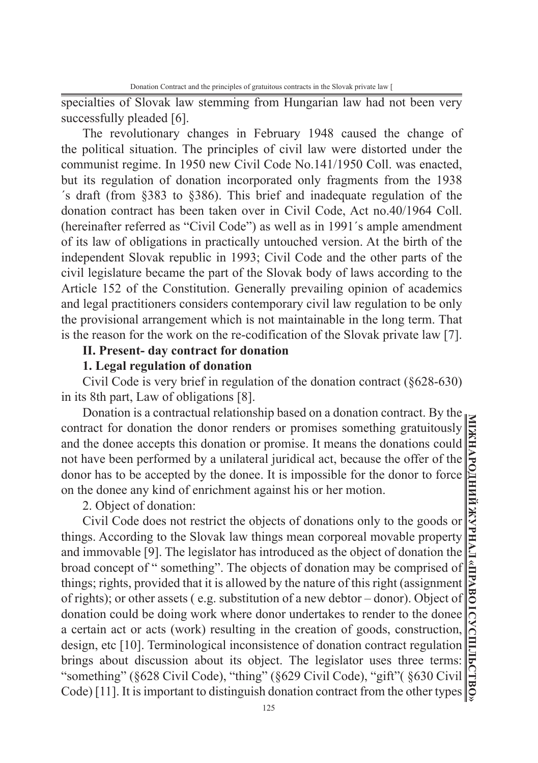specialties of Slovak law stemming from Hungarian law had not been very successfully pleaded [6].

The revolutionary changes in February 1948 caused the change of the political situation. The principles of civil law were distorted under the communist regime. In 1950 new Civil Code No.141/1950 Coll. was enacted, but its regulation of donation incorporated only fragments from the 1938 ´s draft (from §383 to §386). This brief and inadequate regulation of the donation contract has been taken over in Civil Code, Act no.40/1964 Coll. (hereinafter referred as "Civil Code") as well as in 1991´s ample amendment of its law of obligations in practically untouched version. At the birth of the independent Slovak republic in 1993; Civil Code and the other parts of the civil legislature became the part of the Slovak body of laws according to the Article 152 of the Constitution. Generally prevailing opinion of academics and legal practitioners considers contemporary civil law regulation to be only the provisional arrangement which is not maintainable in the long term. That is the reason for the work on the re-codification of the Slovak private law [7].

## **II. Present- day contract for donation**

#### **1. Legal regulation of donation**

Civil Code is very brief in regulation of the donation contract (§628-630) in its 8th part, Law of obligations [8].

Donation is a contractual relationship based on a donation contract. By the contract for donation the donor renders or promises something gratuitously and the donee accepts this donation or promise. It means the donations could not have been performed by a unilateral juridical act, because the offer of the donor has to be accepted by the donee. It is impossible for the donor to force on the donee any kind of enrichment against his or her motion.

2. Object of donation:

Civil Code does not restrict the objects of donations only to the goods or things. According to the Slovak law things mean corporeal movable property and immovable [9]. The legislator has introduced as the object of donation the broad concept of " something". The objects of donation may be comprised of things; rights, provided that it is allowed by the nature of this right (assignment of rights); or other assets ( e.g. substitution of a new debtor – donor). Object of donation could be doing work where donor undertakes to render to the donee a certain act or acts (work) resulting in the creation of goods, construction, design, etc [10]. Terminological inconsistence of donation contract regulation brings about discussion about its object. The legislator uses three terms: "something" (§628 Civil Code), "thing" (§629 Civil Code), "gift"( §630 Civil Code) [11]. It is important to distinguish donation contract from the other types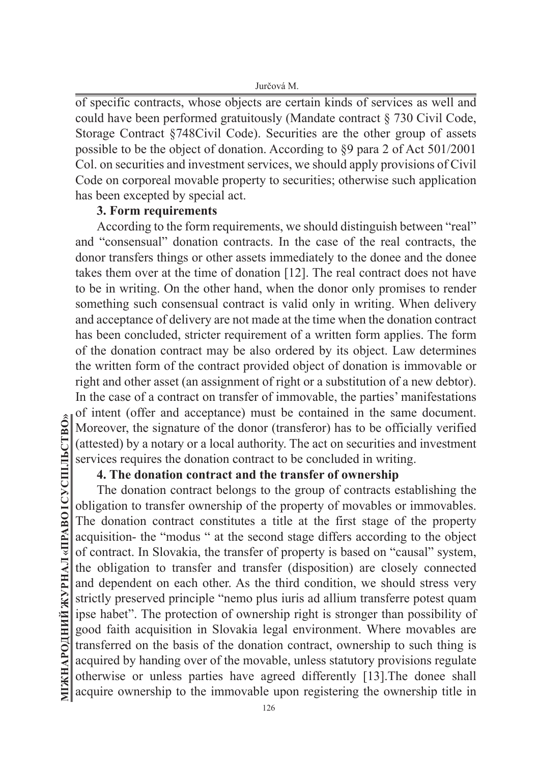of specific contracts, whose objects are certain kinds of services as well and could have been performed gratuitously (Mandate contract § 730 Civil Code, Storage Contract §748Civil Code). Securities are the other group of assets possible to be the object of donation. According to §9 para 2 of Act 501/2001 Col. on securities and investment services, we should apply provisions of Civil Code on corporeal movable property to securities; otherwise such application has been excepted by special act.

#### **3. Form requirements**

According to the form requirements, we should distinguish between "real" and "consensual" donation contracts. In the case of the real contracts, the donor transfers things or other assets immediately to the donee and the donee takes them over at the time of donation [12]. The real contract does not have to be in writing. On the other hand, when the donor only promises to render something such consensual contract is valid only in writing. When delivery and acceptance of delivery are not made at the time when the donation contract has been concluded, stricter requirement of a written form applies. The form of the donation contract may be also ordered by its object. Law determines the written form of the contract provided object of donation is immovable or right and other asset (an assignment of right or a substitution of a new debtor). In the case of a contract on transfer of immovable, the parties' manifestations of intent (offer and acceptance) must be contained in the same document. Moreover, the signature of the donor (transferor) has to be officially verified (attested) by a notary or a local authority. The act on securities and investment services requires the donation contract to be concluded in writing.

## **4. The donation contract and the transfer of ownership**

The donation contract belongs to the group of contracts establishing the obligation to transfer ownership of the property of movables or immovables. The donation contract constitutes a title at the first stage of the property acquisition- the "modus " at the second stage differs according to the object of contract. In Slovakia, the transfer of property is based on "causal" system, the obligation to transfer and transfer (disposition) are closely connected and dependent on each other. As the third condition, we should stress very strictly preserved principle "nemo plus iuris ad allium transferre potest quam ipse habet". The protection of ownership right is stronger than possibility of good faith acquisition in Slovakia legal environment. Where movables are transferred on the basis of the donation contract, ownership to such thing is acquired by handing over of the movable, unless statutory provisions regulate otherwise or unless parties have agreed differently [13].The donee shall acquire ownership to the immovable upon registering the ownership title in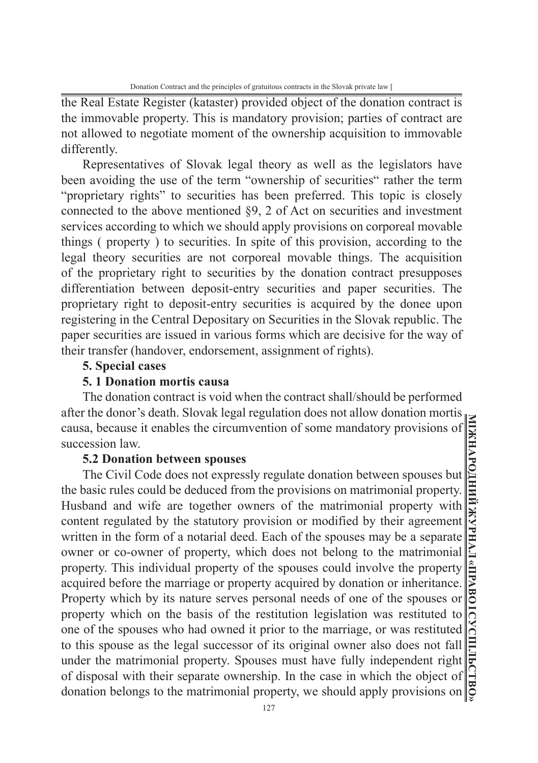the Real Estate Register (kataster) provided object of the donation contract is the immovable property. This is mandatory provision; parties of contract are not allowed to negotiate moment of the ownership acquisition to immovable differently.

Representatives of Slovak legal theory as well as the legislators have been avoiding the use of the term "ownership of securities" rather the term "proprietary rights" to securities has been preferred. This topic is closely connected to the above mentioned §9, 2 of Act on securities and investment services according to which we should apply provisions on corporeal movable things ( property ) to securities. In spite of this provision, according to the legal theory securities are not corporeal movable things. The acquisition of the proprietary right to securities by the donation contract presupposes differentiation between deposit-entry securities and paper securities. The proprietary right to deposit-entry securities is acquired by the donee upon registering in the Central Depositary on Securities in the Slovak republic. The paper securities are issued in various forms which are decisive for the way of their transfer (handover, endorsement, assignment of rights).

#### **5. Special cases**

### **5. 1 Donation mortis causa**

The donation contract is void when the contract shall/should be performed after the donor's death. Slovak legal regulation does not allow donation mortis causa, because it enables the circumvention of some mandatory provisions of succession law.

#### **5.2 Donation between spouses**

The Civil Code does not expressly regulate donation between spouses but the basic rules could be deduced from the provisions on matrimonial property. Husband and wife are together owners of the matrimonial property with content regulated by the statutory provision or modified by their agreement written in the form of a notarial deed. Each of the spouses may be a separate owner or co-owner of property, which does not belong to the matrimonial property. This individual property of the spouses could involve the property acquired before the marriage or property acquired by donation or inheritance. Property which by its nature serves personal needs of one of the spouses or property which on the basis of the restitution legislation was restituted to one of the spouses who had owned it prior to the marriage, or was restituted to this spouse as the legal successor of its original owner also does not fall under the matrimonial property. Spouses must have fully independent right of disposal with their separate ownership. In the case in which the object of donation belongs to the matrimonial property, we should apply provisions on

**МІЖНАРОДНИЙ ЖУРНАЛ «ПРАВО І СУСПІЛЬСТВО»**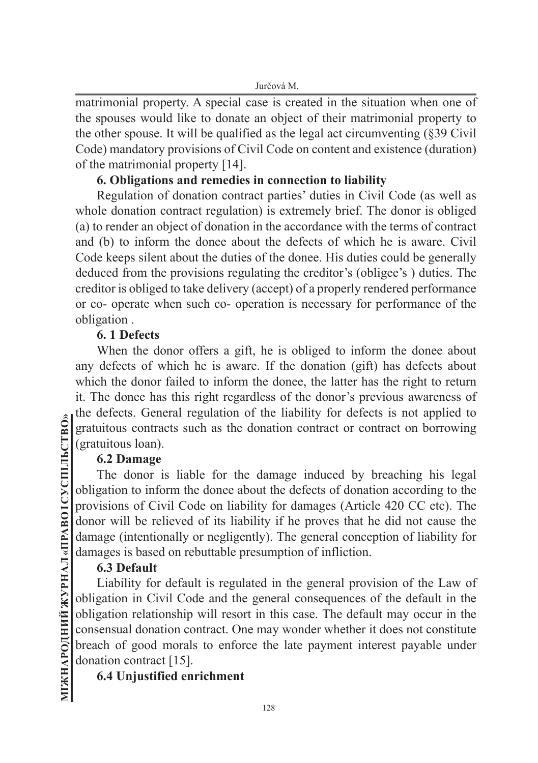matrimonial property. A special case is created in the situation when one of the spouses would like to donate an object of their matrimonial property to the other spouse. It will be qualified as the legal act circumventing (§39 Civil Code) mandatory provisions of Civil Code on content and existence (duration) of the matrimonial property [14].

# **6. Obligations and remedies in connection to liability**

Regulation of donation contract parties' duties in Civil Code (as well as whole donation contract regulation) is extremely brief. The donor is obliged (a) to render an object of donation in the accordance with the terms of contract and (b) to inform the donee about the defects of which he is aware. Civil Code keeps silent about the duties of the donee. His duties could be generally deduced from the provisions regulating the creditor's (obligee's ) duties. The creditor is obliged to take delivery (accept) of a properly rendered performance or co- operate when such co- operation is necessary for performance of the obligation .

# **6. 1 Defects**

When the donor offers a gift, he is obliged to inform the donee about any defects of which he is aware. If the donation (gift) has defects about which the donor failed to inform the donee, the latter has the right to return it. The donee has this right regardless of the donor's previous awareness of the defects. General regulation of the liability for defects is not applied to gratuitous contracts such as the donation contract or contract on borrowing (gratuitous loan).

# **6.2 Damage**

The donor is liable for the damage induced by breaching his legal obligation to inform the donee about the defects of donation according to the provisions of Civil Code on liability for damages (Article 420 CC etc). The donor will be relieved of its liability if he proves that he did not cause the damage (intentionally or negligently). The general conception of liability for damages is based on rebuttable presumption of infliction.

# **6.3 Default**

Liability for default is regulated in the general provision of the Law of obligation in Civil Code and the general consequences of the default in the obligation relationship will resort in this case. The default may occur in the consensual donation contract. One may wonder whether it does not constitute breach of good morals to enforce the late payment interest payable under donation contract [15].

# **6.4 Unjustified enrichment**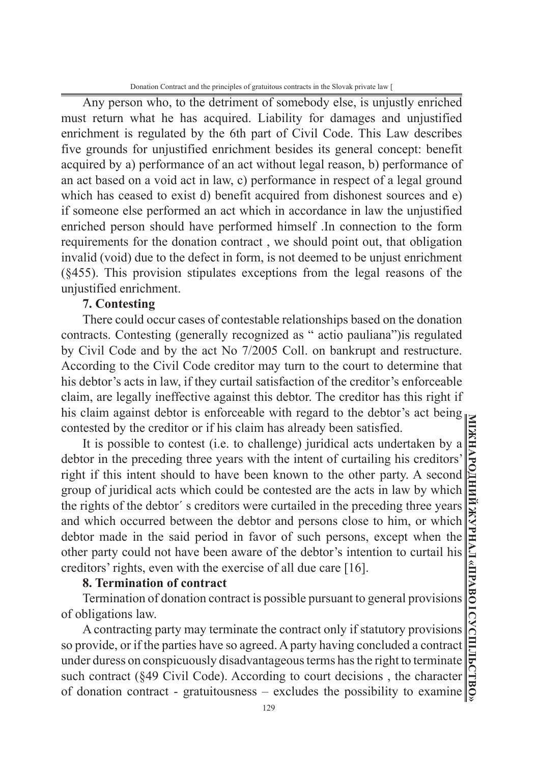Donation Contract and the principles of gratuitous contracts in the Slovak private law [

Any person who, to the detriment of somebody else, is unjustly enriched must return what he has acquired. Liability for damages and unjustified enrichment is regulated by the 6th part of Civil Code. This Law describes five grounds for unjustified enrichment besides its general concept: benefit acquired by a) performance of an act without legal reason, b) performance of an act based on a void act in law, c) performance in respect of a legal ground which has ceased to exist d) benefit acquired from dishonest sources and e) if someone else performed an act which in accordance in law the unjustified enriched person should have performed himself .In connection to the form requirements for the donation contract , we should point out, that obligation invalid (void) due to the defect in form, is not deemed to be unjust enrichment (§455). This provision stipulates exceptions from the legal reasons of the unjustified enrichment.

## **7. Contesting**

There could occur cases of contestable relationships based on the donation contracts. Contesting (generally recognized as " actio pauliana")is regulated by Civil Code and by the act No 7/2005 Coll. on bankrupt and restructure. According to the Civil Code creditor may turn to the court to determine that his debtor's acts in law, if they curtail satisfaction of the creditor's enforceable claim, are legally ineffective against this debtor. The creditor has this right if his claim against debtor is enforceable with regard to the debtor's act being contested by the creditor or if his claim has already been satisfied.

It is possible to contest (i.e. to challenge) juridical acts undertaken by a debtor in the preceding three years with the intent of curtailing his creditors' right if this intent should to have been known to the other party. A second group of juridical acts which could be contested are the acts in law by which the rights of the debtor´ s creditors were curtailed in the preceding three years and which occurred between the debtor and persons close to him, or which debtor made in the said period in favor of such persons, except when the other party could not have been aware of the debtor's intention to curtail his creditors' rights, even with the exercise of all due care [16].

#### **8. Termination of contract**

Termination of donation contract is possible pursuant to general provisions of obligations law.

A contracting party may terminate the contract only if statutory provisions so provide, or if the parties have so agreed. A party having concluded a contract under duress on conspicuously disadvantageous terms has the right to terminate such contract (§49 Civil Code). According to court decisions , the character of donation contract - gratuitousness – excludes the possibility to examine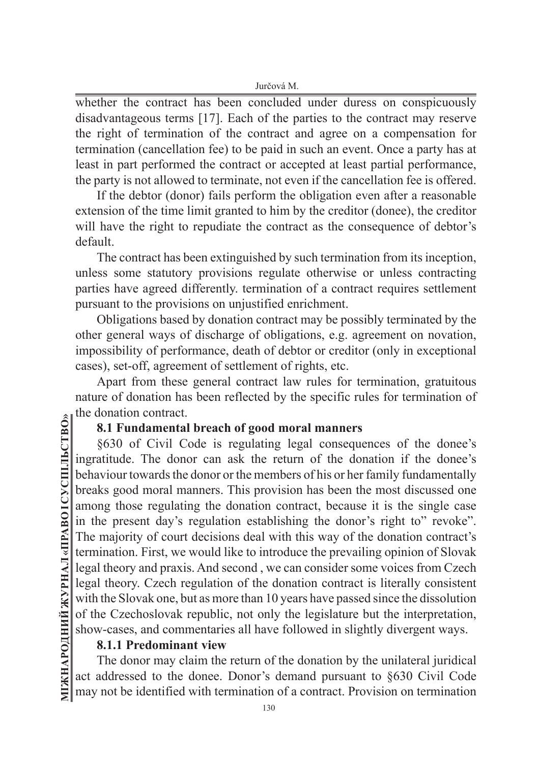whether the contract has been concluded under duress on conspicuously disadvantageous terms [17]. Each of the parties to the contract may reserve the right of termination of the contract and agree on a compensation for termination (cancellation fee) to be paid in such an event. Once a party has at least in part performed the contract or accepted at least partial performance, the party is not allowed to terminate, not even if the cancellation fee is offered.

If the debtor (donor) fails perform the obligation even after a reasonable extension of the time limit granted to him by the creditor (donee), the creditor will have the right to repudiate the contract as the consequence of debtor's default.

The contract has been extinguished by such termination from its inception, unless some statutory provisions regulate otherwise or unless contracting parties have agreed differently. termination of a contract requires settlement pursuant to the provisions on unjustified enrichment.

Obligations based by donation contract may be possibly terminated by the other general ways of discharge of obligations, e.g. agreement on novation, impossibility of performance, death of debtor or creditor (only in exceptional cases), set-off, agreement of settlement of rights, etc.

Apart from these general contract law rules for termination, gratuitous nature of donation has been reflected by the specific rules for termination of the donation contract.

## **8.1 Fundamental breach of good moral manners**

§630 of Civil Code is regulating legal consequences of the donee's ingratitude. The donor can ask the return of the donation if the donee's behaviour towards the donor or the members of his or her family fundamentally breaks good moral manners. This provision has been the most discussed one among those regulating the donation contract, because it is the single case in the present day's regulation establishing the donor's right to" revoke". The majority of court decisions deal with this way of the donation contract's termination. First, we would like to introduce the prevailing opinion of Slovak legal theory and praxis. And second , we can consider some voices from Czech legal theory. Czech regulation of the donation contract is literally consistent with the Slovak one, but as more than 10 years have passed since the dissolution of the Czechoslovak republic, not only the legislature but the interpretation, show-cases, and commentaries all have followed in slightly divergent ways.

# **8.1.1 Predominant view**

The donor may claim the return of the donation by the unilateral juridical act addressed to the donee. Donor's demand pursuant to §630 Civil Code may not be identified with termination of a contract. Provision on termination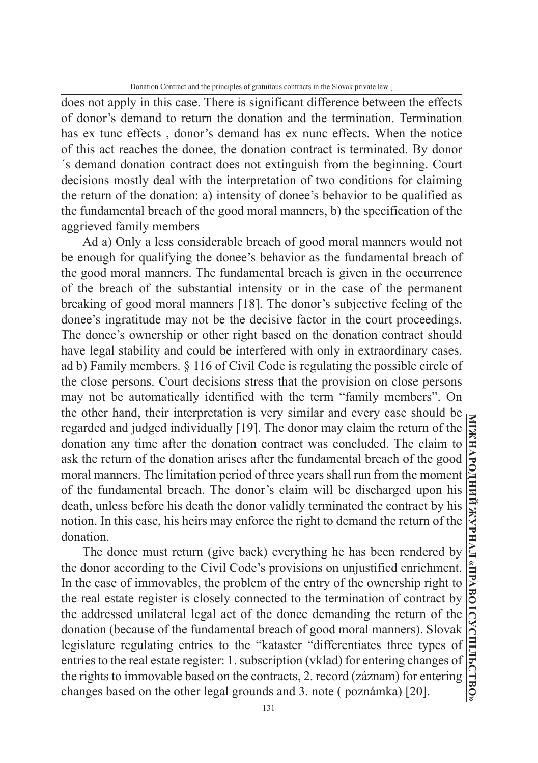does not apply in this case. There is significant difference between the effects of donor's demand to return the donation and the termination. Termination has ex tunc effects , donor's demand has ex nunc effects. When the notice of this act reaches the donee, the donation contract is terminated. By donor ´s demand donation contract does not extinguish from the beginning. Court decisions mostly deal with the interpretation of two conditions for claiming the return of the donation: a) intensity of donee's behavior to be qualified as the fundamental breach of the good moral manners, b) the specification of the aggrieved family members

Ad a) Only a less considerable breach of good moral manners would not be enough for qualifying the donee's behavior as the fundamental breach of the good moral manners. The fundamental breach is given in the occurrence of the breach of the substantial intensity or in the case of the permanent breaking of good moral manners [18]. The donor's subjective feeling of the donee's ingratitude may not be the decisive factor in the court proceedings. The donee's ownership or other right based on the donation contract should have legal stability and could be interfered with only in extraordinary cases. ad b) Family members. § 116 of Civil Code is regulating the possible circle of the close persons. Court decisions stress that the provision on close persons may not be automatically identified with the term "family members". On the other hand, their interpretation is very similar and every case should be regarded and judged individually [19]. The donor may claim the return of the donation any time after the donation contract was concluded. The claim to ask the return of the donation arises after the fundamental breach of the good moral manners. The limitation period of three years shall run from the moment of the fundamental breach. The donor's claim will be discharged upon his death, unless before his death the donor validly terminated the contract by his notion. In this case, his heirs may enforce the right to demand the return of the donation.

The donee must return (give back) everything he has been rendered by the donor according to the Civil Code's provisions on unjustified enrichment. In the case of immovables, the problem of the entry of the ownership right to the real estate register is closely connected to the termination of contract by the addressed unilateral legal act of the donee demanding the return of the donation (because of the fundamental breach of good moral manners). Slovak legislature regulating entries to the "kataster "differentiates three types of entries to the real estate register: 1. subscription (vklad) for entering changes of the rights to immovable based on the contracts, 2. record (záznam) for entering changes based on the other legal grounds and 3. note ( poznámka) [20].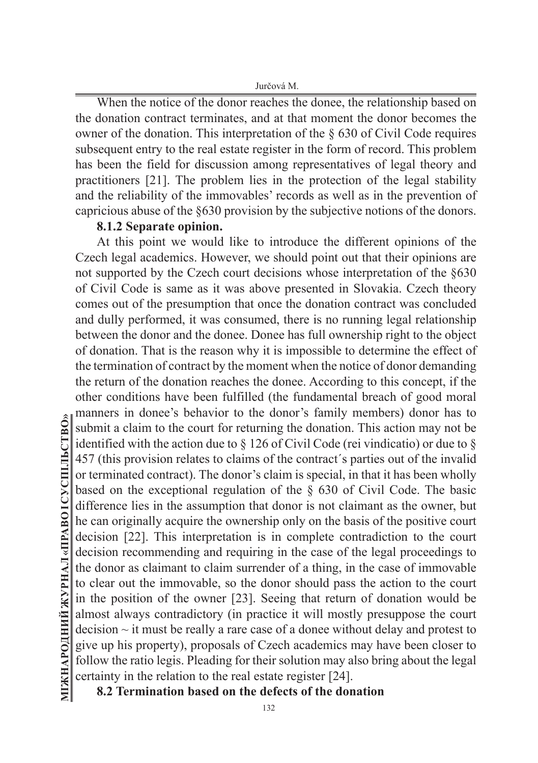When the notice of the donor reaches the donee, the relationship based on the donation contract terminates, and at that moment the donor becomes the owner of the donation. This interpretation of the § 630 of Civil Code requires subsequent entry to the real estate register in the form of record. This problem has been the field for discussion among representatives of legal theory and practitioners [21]. The problem lies in the protection of the legal stability and the reliability of the immovables' records as well as in the prevention of capricious abuse of the §630 provision by the subjective notions of the donors.

### **8.1.2 Separate opinion.**

At this point we would like to introduce the different opinions of the Czech legal academics. However, we should point out that their opinions are not supported by the Czech court decisions whose interpretation of the §630 of Civil Code is same as it was above presented in Slovakia. Czech theory comes out of the presumption that once the donation contract was concluded and dully performed, it was consumed, there is no running legal relationship between the donor and the donee. Donee has full ownership right to the object of donation. That is the reason why it is impossible to determine the effect of the termination of contract by the moment when the notice of donor demanding the return of the donation reaches the donee. According to this concept, if the other conditions have been fulfilled (the fundamental breach of good moral manners in donee's behavior to the donor's family members) donor has to submit a claim to the court for returning the donation. This action may not be identified with the action due to  $\S$  126 of Civil Code (rei vindicatio) or due to  $\S$ 457 (this provision relates to claims of the contract´s parties out of the invalid or terminated contract). The donor's claim is special, in that it has been wholly based on the exceptional regulation of the § 630 of Civil Code. The basic difference lies in the assumption that donor is not claimant as the owner, but he can originally acquire the ownership only on the basis of the positive court decision [22]. This interpretation is in complete contradiction to the court decision recommending and requiring in the case of the legal proceedings to the donor as claimant to claim surrender of a thing, in the case of immovable to clear out the immovable, so the donor should pass the action to the court in the position of the owner [23]. Seeing that return of donation would be almost always contradictory (in practice it will mostly presuppose the court  $decision \sim it$  must be really a rare case of a donee without delay and protest to give up his property), proposals of Czech academics may have been closer to follow the ratio legis. Pleading for their solution may also bring about the legal certainty in the relation to the real estate register [24].

**8.2 Termination based on the defects of the donation**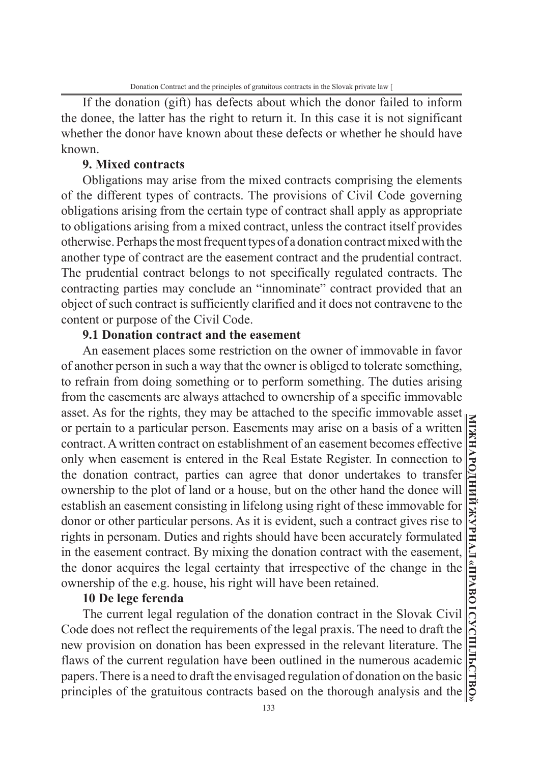If the donation (gift) has defects about which the donor failed to inform the donee, the latter has the right to return it. In this case it is not significant whether the donor have known about these defects or whether he should have known.

## **9. Mixed contracts**

Obligations may arise from the mixed contracts comprising the elements of the different types of contracts. The provisions of Civil Code governing obligations arising from the certain type of contract shall apply as appropriate to obligations arising from a mixed contract, unless the contract itself provides otherwise. Perhaps the most frequent types of a donation contract mixed with the another type of contract are the easement contract and the prudential contract. The prudential contract belongs to not specifically regulated contracts. The contracting parties may conclude an "innominate" contract provided that an object of such contract is sufficiently clarified and it does not contravene to the content or purpose of the Civil Code.

## **9.1 Donation contract and the easement**

An easement places some restriction on the owner of immovable in favor of another person in such a way that the owner is obliged to tolerate something, to refrain from doing something or to perform something. The duties arising from the easements are always attached to ownership of a specific immovable asset. As for the rights, they may be attached to the specific immovable asset or pertain to a particular person. Easements may arise on a basis of a written contract. A written contract on establishment of an easement becomes effective only when easement is entered in the Real Estate Register. In connection to the donation contract, parties can agree that donor undertakes to transfer ownership to the plot of land or a house, but on the other hand the donee will establish an easement consisting in lifelong using right of these immovable for donor or other particular persons. As it is evident, such a contract gives rise to rights in personam. Duties and rights should have been accurately formulated in the easement contract. By mixing the donation contract with the easement, the donor acquires the legal certainty that irrespective of the change in the ownership of the e.g. house, his right will have been retained.

#### **10 De lege ferenda**

The current legal regulation of the donation contract in the Slovak Civil Code does not reflect the requirements of the legal praxis. The need to draft the new provision on donation has been expressed in the relevant literature. The flaws of the current regulation have been outlined in the numerous academic papers. There is a need to draft the envisaged regulation of donation on the basic principles of the gratuitous contracts based on the thorough analysis and the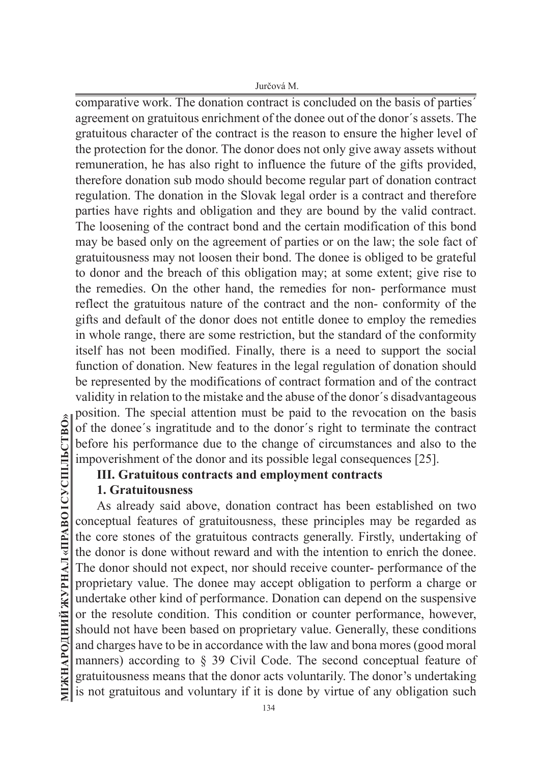comparative work. The donation contract is concluded on the basis of parties´ agreement on gratuitous enrichment of the donee out of the donor´s assets. The gratuitous character of the contract is the reason to ensure the higher level of the protection for the donor. The donor does not only give away assets without remuneration, he has also right to influence the future of the gifts provided, therefore donation sub modo should become regular part of donation contract regulation. The donation in the Slovak legal order is a contract and therefore parties have rights and obligation and they are bound by the valid contract. The loosening of the contract bond and the certain modification of this bond may be based only on the agreement of parties or on the law; the sole fact of gratuitousness may not loosen their bond. The donee is obliged to be grateful to donor and the breach of this obligation may; at some extent; give rise to the remedies. On the other hand, the remedies for non- performance must reflect the gratuitous nature of the contract and the non- conformity of the gifts and default of the donor does not entitle donee to employ the remedies in whole range, there are some restriction, but the standard of the conformity itself has not been modified. Finally, there is a need to support the social function of donation. New features in the legal regulation of donation should be represented by the modifications of contract formation and of the contract validity in relation to the mistake and the abuse of the donor´s disadvantageous position. The special attention must be paid to the revocation on the basis of the donee´s ingratitude and to the donor´s right to terminate the contract before his performance due to the change of circumstances and also to the impoverishment of the donor and its possible legal consequences [25].

# **III. Gratuitous contracts and employment contracts**

# **1. Gratuitousness**

As already said above, donation contract has been established on two conceptual features of gratuitousness, these principles may be regarded as the core stones of the gratuitous contracts generally. Firstly, undertaking of the donor is done without reward and with the intention to enrich the donee. The donor should not expect, nor should receive counter- performance of the proprietary value. The donee may accept obligation to perform a charge or undertake other kind of performance. Donation can depend on the suspensive or the resolute condition. This condition or counter performance, however, should not have been based on proprietary value. Generally, these conditions and charges have to be in accordance with the law and bona mores (good moral manners) according to § 39 Civil Code. The second conceptual feature of gratuitousness means that the donor acts voluntarily. The donor's undertaking is not gratuitous and voluntary if it is done by virtue of any obligation such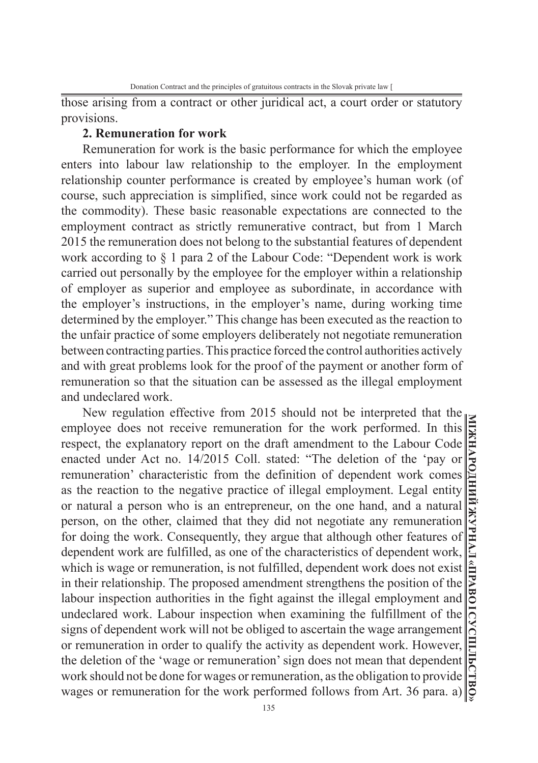those arising from a contract or other juridical act, a court order or statutory provisions.

#### **2. Remuneration for work**

Remuneration for work is the basic performance for which the employee enters into labour law relationship to the employer. In the employment relationship counter performance is created by employee's human work (of course, such appreciation is simplified, since work could not be regarded as the commodity). These basic reasonable expectations are connected to the employment contract as strictly remunerative contract, but from 1 March 2015 the remuneration does not belong to the substantial features of dependent work according to § 1 para 2 of the Labour Code: "Dependent work is work carried out personally by the employee for the employer within a relationship of employer as superior and employee as subordinate, in accordance with the employer's instructions, in the employer's name, during working time determined by the employer." This change has been executed as the reaction to the unfair practice of some employers deliberately not negotiate remuneration between contracting parties. This practice forced the control authorities actively and with great problems look for the proof of the payment or another form of remuneration so that the situation can be assessed as the illegal employment and undeclared work.

New regulation effective from 2015 should not be interpreted that the employee does not receive remuneration for the work performed. In this respect, the explanatory report on the draft amendment to the Labour Code enacted under Act no. 14/2015 Coll. stated: "The deletion of the 'pay or remuneration' characteristic from the definition of dependent work comes as the reaction to the negative practice of illegal employment. Legal entity or natural a person who is an entrepreneur, on the one hand, and a natural person, on the other, claimed that they did not negotiate any remuneration for doing the work. Consequently, they argue that although other features of dependent work are fulfilled, as one of the characteristics of dependent work, which is wage or remuneration, is not fulfilled, dependent work does not exist in their relationship. The proposed amendment strengthens the position of the labour inspection authorities in the fight against the illegal employment and undeclared work. Labour inspection when examining the fulfillment of the signs of dependent work will not be obliged to ascertain the wage arrangement or remuneration in order to qualify the activity as dependent work. However, the deletion of the 'wage or remuneration' sign does not mean that dependent work should not be done for wages or remuneration, as the obligation to provide wages or remuneration for the work performed follows from Art. 36 para. a)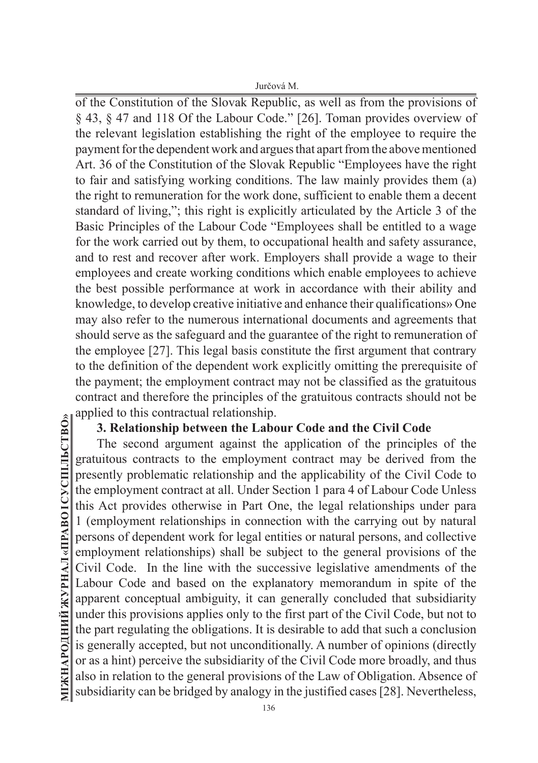of the Constitution of the Slovak Republic, as well as from the provisions of § 43, § 47 and 118 Of the Labour Code." [26]. Toman provides overview of the relevant legislation establishing the right of the employee to require the payment for the dependent work and argues that apart from the above mentioned Art. 36 of the Constitution of the Slovak Republic "Employees have the right to fair and satisfying working conditions. The law mainly provides them (a) the right to remuneration for the work done, sufficient to enable them a decent standard of living,"; this right is explicitly articulated by the Article 3 of the Basic Principles of the Labour Code "Employees shall be entitled to a wage for the work carried out by them, to occupational health and safety assurance, and to rest and recover after work. Employers shall provide a wage to their employees and create working conditions which enable employees to achieve the best possible performance at work in accordance with their ability and knowledge, to develop creative initiative and enhance their qualifications» One may also refer to the numerous international documents and agreements that should serve as the safeguard and the guarantee of the right to remuneration of the employee [27]. This legal basis constitute the first argument that contrary to the definition of the dependent work explicitly omitting the prerequisite of the payment; the employment contract may not be classified as the gratuitous contract and therefore the principles of the gratuitous contracts should not be applied to this contractual relationship.

## **3. Relationship between the Labour Code and the Civil Code**

The second argument against the application of the principles of the gratuitous contracts to the employment contract may be derived from the presently problematic relationship and the applicability of the Civil Code to the employment contract at all. Under Section 1 para 4 of Labour Code Unless this Act provides otherwise in Part One, the legal relationships under para 1 (employment relationships in connection with the carrying out by natural persons of dependent work for legal entities or natural persons, and collective employment relationships) shall be subject to the general provisions of the Civil Code. In the line with the successive legislative amendments of the Labour Code and based on the explanatory memorandum in spite of the apparent conceptual ambiguity, it can generally concluded that subsidiarity under this provisions applies only to the first part of the Civil Code, but not to the part regulating the obligations. It is desirable to add that such a conclusion is generally accepted, but not unconditionally. A number of opinions (directly or as a hint) perceive the subsidiarity of the Civil Code more broadly, and thus also in relation to the general provisions of the Law of Obligation. Absence of subsidiarity can be bridged by analogy in the justified cases [28]. Nevertheless,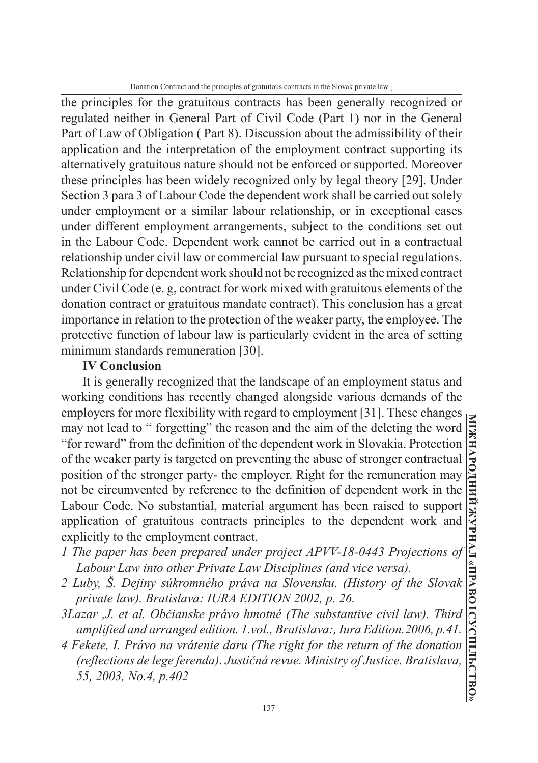Donation Contract and the principles of gratuitous contracts in the Slovak private law [

the principles for the gratuitous contracts has been generally recognized or regulated neither in General Part of Civil Code (Part 1) nor in the General Part of Law of Obligation ( Part 8). Discussion about the admissibility of their application and the interpretation of the employment contract supporting its alternatively gratuitous nature should not be enforced or supported. Moreover these principles has been widely recognized only by legal theory [29]. Under Section 3 para 3 of Labour Code the dependent work shall be carried out solely under employment or a similar labour relationship, or in exceptional cases under different employment arrangements, subject to the conditions set out in the Labour Code. Dependent work cannot be carried out in a contractual relationship under civil law or commercial law pursuant to special regulations. Relationship for dependent work should not be recognized as the mixed contract under Civil Code (e. g, contract for work mixed with gratuitous elements of the donation contract or gratuitous mandate contract). This conclusion has a great importance in relation to the protection of the weaker party, the employee. The protective function of labour law is particularly evident in the area of setting minimum standards remuneration [30].

## **IV Conclusion**

It is generally recognized that the landscape of an employment status and working conditions has recently changed alongside various demands of the employers for more flexibility with regard to employment [31]. These changes may not lead to " forgetting" the reason and the aim of the deleting the word "for reward" from the definition of the dependent work in Slovakia. Protection of the weaker party is targeted on preventing the abuse of stronger contractual position of the stronger party- the employer. Right for the remuneration may not be circumvented by reference to the definition of dependent work in the Labour Code. No substantial, material argument has been raised to support application of gratuitous contracts principles to the dependent work and explicitly to the employment contract.

- *1 The paper has been prepared under project APVV-18-0443 Projections of Labour Law into other Private Law Disciplines (and vice versa).*
- *2 Luby, Š. Dejiny súkromného práva na Slovensku. (History of the Slovak private law). Bratislava: IURA EDITION 2002, p. 26.*
- *3Lazar ,J. et al. Občianske právo hmotné (The substantive civil law). Third amplified and arranged edition. 1.vol., Bratislava:, Iura Edition.2006, p.41.*
- *4 Fekete, I. Právo na vrátenie daru (The right for the return of the donation (reflections de lege ferenda). Justičná revue. Ministry of Justice. Bratislava, 55, 2003, No.4, p.402*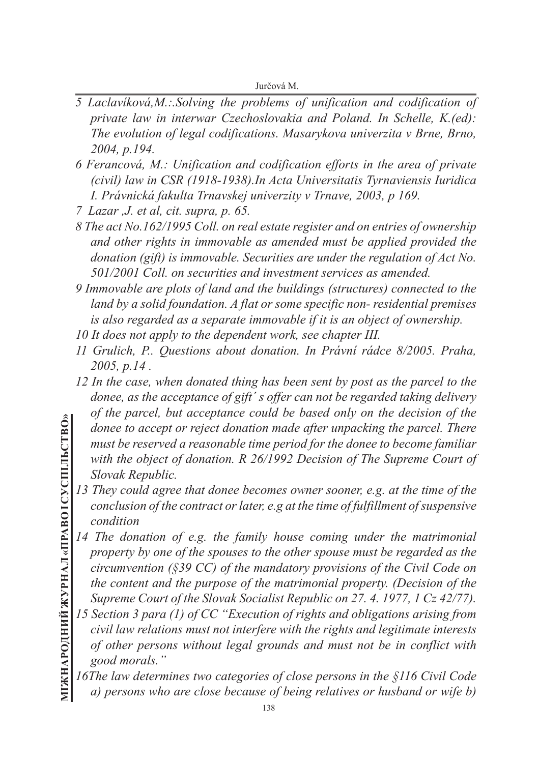- *5 Laclavíková,M.:.Solving the problems of unification and codification of private law in interwar Czechoslovakia and Poland. In Schelle, K.(ed): The evolution of legal codifications. Masarykova univerzita v Brne, Brno, 2004, p.194.*
- *6 Ferancová, M.: Unification and codification efforts in the area of private (civil) law in CSR (1918-1938).In Acta Universitatis Tyrnaviensis Iuridica I. Právnická fakulta Trnavskej univerzity v Trnave, 2003, p 169.*
- *7 Lazar ,J. et al, cit. supra, p. 65.*
- *8 The act No.162/1995 Coll. on real estate register and on entries of ownership and other rights in immovable as amended must be applied provided the donation (gift) is immovable. Securities are under the regulation of Act No. 501/2001 Coll. on securities and investment services as amended.*
- *9 Immovable are plots of land and the buildings (structures) connected to the land by a solid foundation. A flat or some specific non- residential premises is also regarded as a separate immovable if it is an object of ownership.*
- *10 It does not apply to the dependent work, see chapter III.*
- *11 Grulich, P.. Questions about donation. In Právní rádce 8/2005. Praha, 2005, p.14 .*
- *12 In the case, when donated thing has been sent by post as the parcel to the donee, as the acceptance of gift´ s offer can not be regarded taking delivery of the parcel, but acceptance could be based only on the decision of the donee to accept or reject donation made after unpacking the parcel. There must be reserved a reasonable time period for the donee to become familiar with the object of donation. R 26/1992 Decision of The Supreme Court of Slovak Republic.*
- 13 They could agree that donee becomes owner sooner, e.g. at the time of the *conclusion of the contract or later, e.g at the time of fulfillment of suspensive condition*
- *14 The donation of e.g. the family house coming under the matrimonial property by one of the spouses to the other spouse must be regarded as the circumvention (§39 CC) of the mandatory provisions of the Civil Code on the content and the purpose of the matrimonial property. (Decision of the Supreme Court of the Slovak Socialist Republic on 27. 4. 1977, 1 Cz 42/77).*
- *15 Section 3 para (1) of CC "Execution of rights and obligations arising from civil law relations must not interfere with the rights and legitimate interests of other persons without legal grounds and must not be in conflict with good morals."*
- *16The law determines two categories of close persons in the §116 Civil Code a) persons who are close because of being relatives or husband or wife b)*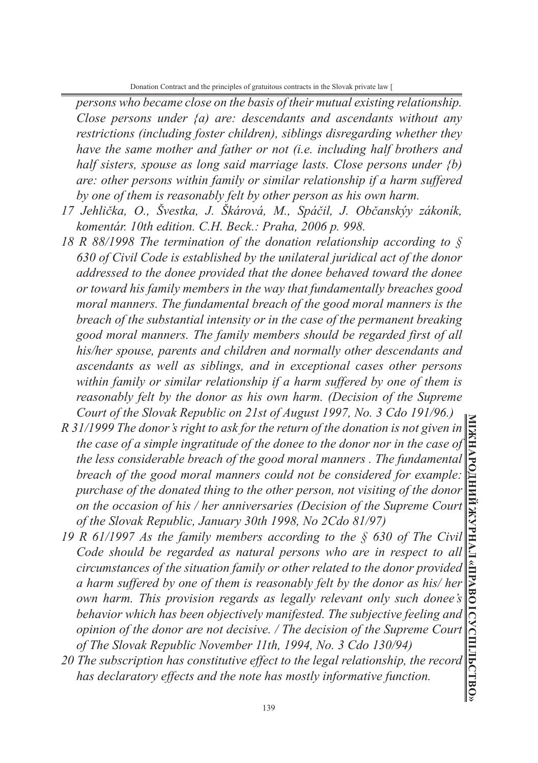*persons who became close on the basis of their mutual existing relationship. Close persons under {a) are: descendants and ascendants without any restrictions (including foster children), siblings disregarding whether they have the same mother and father or not (i.e. including half brothers and half sisters, spouse as long said marriage lasts. Close persons under {b) are: other persons within family or similar relationship if a harm suffered by one of them is reasonably felt by other person as his own harm.*

- *17 Jehlička, O., Švestka, J. Škárová, M., Spáčil, J. Občanskýy zákoník, komentár. 10th edition. C.H. Beck.: Praha, 2006 p. 998.*
- *18 R 88/1998 The termination of the donation relationship according to § 630 of Civil Code is established by the unilateral juridical act of the donor addressed to the donee provided that the donee behaved toward the donee or toward his family members in the way that fundamentally breaches good moral manners. The fundamental breach of the good moral manners is the breach of the substantial intensity or in the case of the permanent breaking good moral manners. The family members should be regarded first of all his/her spouse, parents and children and normally other descendants and ascendants as well as siblings, and in exceptional cases other persons within family or similar relationship if a harm suffered by one of them is reasonably felt by the donor as his own harm. (Decision of the Supreme Court of the Slovak Republic on 21st of August 1997, No. 3 Cdo 191/96.)*
- *R 31/1999 The donor's right to ask for the return of the donation is not given in the case of a simple ingratitude of the donee to the donor nor in the case of the less considerable breach of the good moral manners . The fundamental breach of the good moral manners could not be considered for example: purchase of the donated thing to the other person, not visiting of the donor on the occasion of his / her anniversaries (Decision of the Supreme Court of the Slovak Republic, January 30th 1998, No 2Cdo 81/97)*
- *19 R 61/1997 As the family members according to the § 630 of The Civil Code should be regarded as natural persons who are in respect to all circumstances of the situation family or other related to the donor provided a harm suffered by one of them is reasonably felt by the donor as his/ her own harm. This provision regards as legally relevant only such donee's behavior which has been objectively manifested. The subjective feeling and opinion of the donor are not decisive. / The decision of the Supreme Court of The Slovak Republic November 11th, 1994, No. 3 Cdo 130/94)*
- *20 The subscription has constitutive effect to the legal relationship, the record has declaratory effects and the note has mostly informative function.*

**МІЖНАРОДНИЙ ЖУРНАЛ «ПРАВО І СУСПІЛЬСТВО»**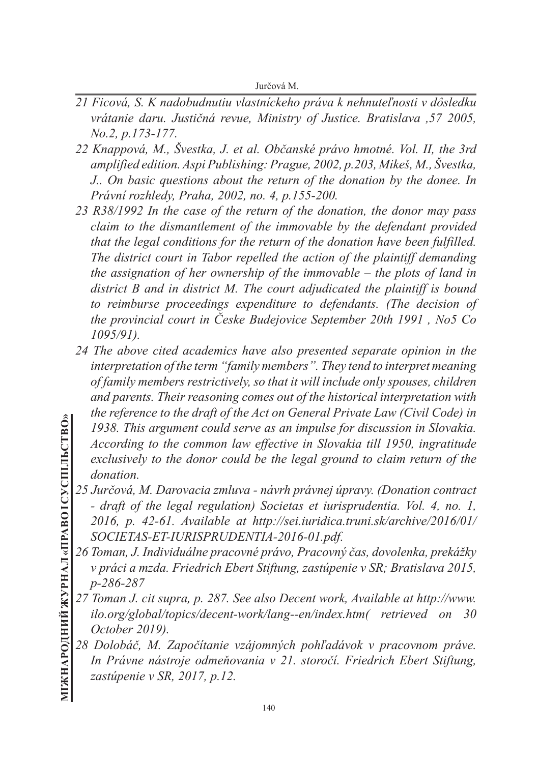- *21 Ficová, S. K nadobudnutiu vlastníckeho práva k nehnuteľnosti v dôsledku vrátanie daru. Justičná revue, Ministry of Justice. Bratislava ,57 2005, No.2, p.173-177.*
- *22 Knappová, M., Švestka, J. et al. Občanské právo hmotné. Vol. II, the 3rd amplified edition. Aspi Publishing: Prague, 2002, p.203, Mikeš, M., Švestka, J.. On basic questions about the return of the donation by the donee. In Právní rozhledy, Praha, 2002, no. 4, p.155-200.*
- *23 R38/1992 In the case of the return of the donation, the donor may pass claim to the dismantlement of the immovable by the defendant provided that the legal conditions for the return of the donation have been fulfilled. The district court in Tabor repelled the action of the plaintiff demanding the assignation of her ownership of the immovable – the plots of land in district B and in district M. The court adjudicated the plaintiff is bound to reimburse proceedings expenditure to defendants. (The decision of the provincial court in Česke Budejovice September 20th 1991 , No5 Co 1095/91).*
- *24 The above cited academics have also presented separate opinion in the interpretation of the term "family members". They tend to interpret meaning of family members restrictively, so that it will include only spouses, children and parents. Their reasoning comes out of the historical interpretation with the reference to the draft of the Act on General Private Law (Civil Code) in 1938. This argument could serve as an impulse for discussion in Slovakia. According to the common law effective in Slovakia till 1950, ingratitude exclusively to the donor could be the legal ground to claim return of the donation.*
- *25 Jurčová, M. Darovacia zmluva návrh právnej úpravy. (Donation contract - draft of the legal regulation) Societas et iurisprudentia. Vol. 4, no. 1, 2016, p. 42-61. Available at http://sei.iuridica.truni.sk/archive/2016/01/ SOCIETAS-ET-IURISPRUDENTIA-2016-01.pdf.*
- *26 Toman, J. Individuálne pracovné právo, Pracovný čas, dovolenka, prekážky v práci a mzda. Friedrich Ebert Stiftung, zastúpenie v SR; Bratislava 2015, p-286-287*
- *27 Toman J. cit supra, p. 287. See also Decent work, Available at http://www. ilo.org/global/topics/decent-work/lang--en/index.htm( retrieved on 30 October 2019).*
- *28 Dolobáč, M. Započítanie vzájomných pohľadávok v pracovnom práve. In Právne nástroje odmeňovania v 21. storočí. Friedrich Ebert Stiftung, zastúpenie v SR, 2017, p.12.*